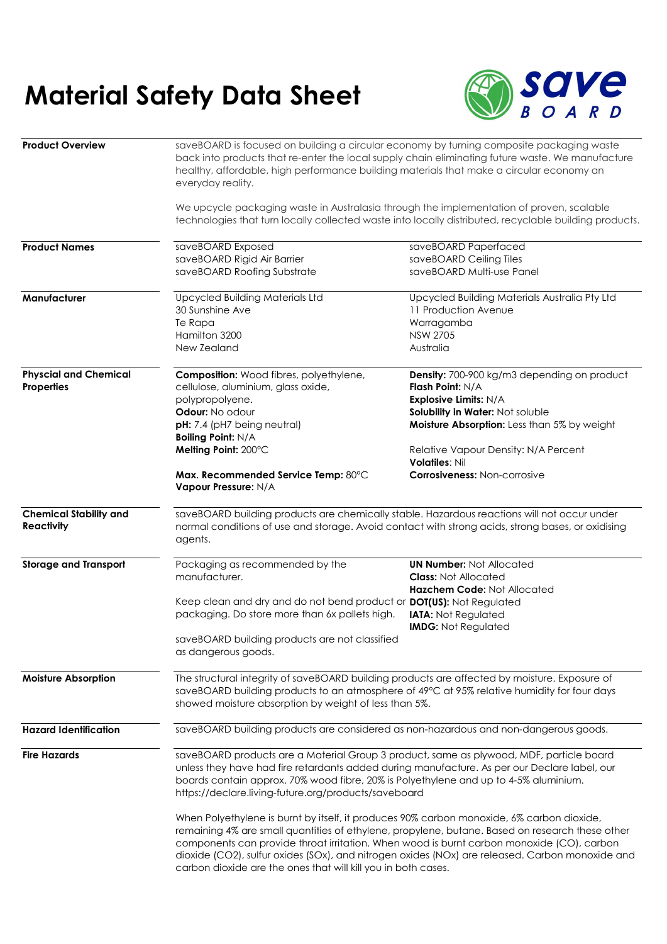## **Material Safety Data Sheet**



| <b>Product Overview</b>                     | saveBOARD is focused on building a circular economy by turning composite packaging waste<br>back into products that re-enter the local supply chain eliminating future waste. We manufacture<br>healthy, affordable, high performance building materials that make a circular economy an<br>everyday reality.                                                                                                                                                 |                                                                  |  |
|---------------------------------------------|---------------------------------------------------------------------------------------------------------------------------------------------------------------------------------------------------------------------------------------------------------------------------------------------------------------------------------------------------------------------------------------------------------------------------------------------------------------|------------------------------------------------------------------|--|
|                                             | We upcycle packaging waste in Australasia through the implementation of proven, scalable<br>technologies that turn locally collected waste into locally distributed, recyclable building products.                                                                                                                                                                                                                                                            |                                                                  |  |
| <b>Product Names</b>                        | saveBOARD Exposed                                                                                                                                                                                                                                                                                                                                                                                                                                             | saveBOARD Paperfaced                                             |  |
|                                             | saveBOARD Rigid Air Barrier<br>saveBOARD Roofing Substrate                                                                                                                                                                                                                                                                                                                                                                                                    | saveBOARD Ceiling Tiles<br>saveBOARD Multi-use Panel             |  |
| Manufacturer                                | <b>Upcycled Building Materials Ltd</b>                                                                                                                                                                                                                                                                                                                                                                                                                        | Upcycled Building Materials Australia Pty Ltd                    |  |
|                                             | 30 Sunshine Ave                                                                                                                                                                                                                                                                                                                                                                                                                                               | 11 Production Avenue                                             |  |
|                                             | Te Rapa<br>Hamilton 3200                                                                                                                                                                                                                                                                                                                                                                                                                                      | Warragamba<br><b>NSW 2705</b>                                    |  |
|                                             | New Zealand                                                                                                                                                                                                                                                                                                                                                                                                                                                   | Australia                                                        |  |
| <b>Physcial and Chemical</b><br>Properties  | <b>Composition:</b> Wood fibres, polyethylene,                                                                                                                                                                                                                                                                                                                                                                                                                | <b>Density:</b> 700-900 kg/m3 depending on product               |  |
|                                             | cellulose, aluminium, glass oxide,                                                                                                                                                                                                                                                                                                                                                                                                                            | Flash Point: N/A                                                 |  |
|                                             | polypropolyene.<br>Odour: No odour                                                                                                                                                                                                                                                                                                                                                                                                                            | <b>Explosive Limits: N/A</b><br>Solubility in Water: Not soluble |  |
|                                             | pH: 7.4 (pH7 being neutral)<br><b>Boiling Point: N/A</b>                                                                                                                                                                                                                                                                                                                                                                                                      | Moisture Absorption: Less than 5% by weight                      |  |
|                                             | Melting Point: 200°C                                                                                                                                                                                                                                                                                                                                                                                                                                          | Relative Vapour Density: N/A Percent<br><b>Volatiles: Nil</b>    |  |
|                                             | Max. Recommended Service Temp: 80°C<br>Vapour Pressure: N/A                                                                                                                                                                                                                                                                                                                                                                                                   | <b>Corrosiveness: Non-corrosive</b>                              |  |
| <b>Chemical Stability and</b><br>Reactivity | saveBOARD building products are chemically stable. Hazardous reactions will not occur under<br>normal conditions of use and storage. Avoid contact with strong acids, strong bases, or oxidising<br>agents.                                                                                                                                                                                                                                                   |                                                                  |  |
| <b>Storage and Transport</b>                | Packaging as recommended by the<br>manufacturer.                                                                                                                                                                                                                                                                                                                                                                                                              | <b>UN Number: Not Allocated</b><br><b>Class: Not Allocated</b>   |  |
|                                             | Keep clean and dry and do not bend product or DOT(US): Not Regulated<br>packaging. Do store more than 6x pallets high.                                                                                                                                                                                                                                                                                                                                        | Hazchem Code: Not Allocated<br><b>IATA: Not Regulated</b>        |  |
|                                             | saveBOARD building products are not classified<br>as dangerous goods.                                                                                                                                                                                                                                                                                                                                                                                         | <b>IMDG: Not Regulated</b>                                       |  |
| <b>Moisture Absorption</b>                  | The structural integrity of saveBOARD building products are affected by moisture. Exposure of<br>saveBOARD building products to an atmosphere of 49°C at 95% relative humidity for four days<br>showed moisture absorption by weight of less than 5%.                                                                                                                                                                                                         |                                                                  |  |
| <b>Hazard Identification</b>                | saveBOARD building products are considered as non-hazardous and non-dangerous goods.                                                                                                                                                                                                                                                                                                                                                                          |                                                                  |  |
| <b>Fire Hazards</b>                         | saveBOARD products are a Material Group 3 product, same as plywood, MDF, particle board<br>unless they have had fire retardants added during manufacture. As per our Declare label, our<br>boards contain approx. 70% wood fibre, 20% is Polyethylene and up to 4-5% aluminium.<br>https://declare.living-future.org/products/saveboard                                                                                                                       |                                                                  |  |
|                                             | When Polyethylene is burnt by itself, it produces 90% carbon monoxide, 6% carbon dioxide,<br>remaining 4% are small quantities of ethylene, propylene, butane. Based on research these other<br>components can provide throat irritation. When wood is burnt carbon monoxide (CO), carbon<br>dioxide (CO2), sulfur oxides (SOx), and nitrogen oxides (NOx) are released. Carbon monoxide and<br>carbon dioxide are the ones that will kill you in both cases. |                                                                  |  |